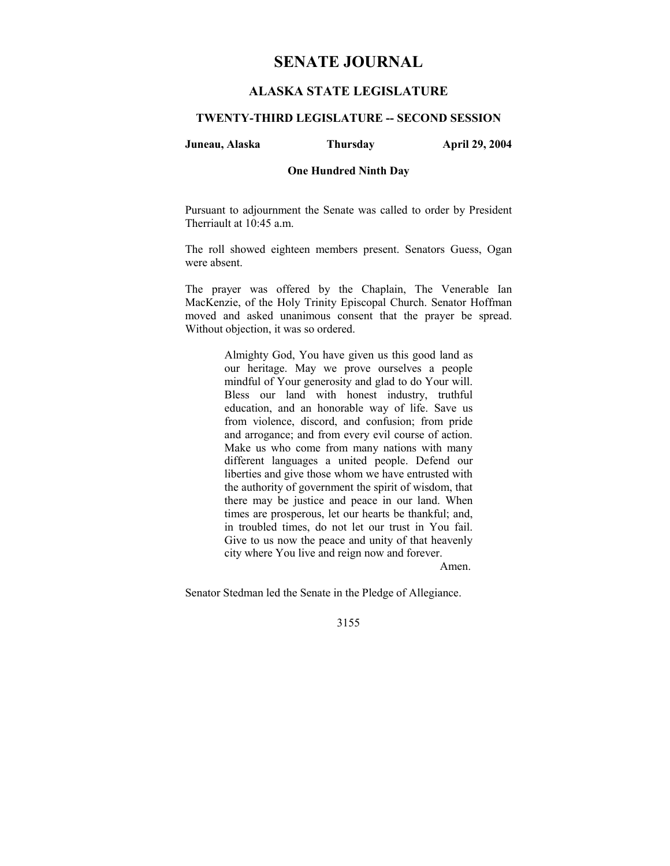# **SENATE JOURNAL**

# **ALASKA STATE LEGISLATURE**

# **TWENTY-THIRD LEGISLATURE -- SECOND SESSION**

#### **Juneau, Alaska Thursday April 29, 2004**

#### **One Hundred Ninth Day**

Pursuant to adjournment the Senate was called to order by President Therriault at 10:45 a.m.

The roll showed eighteen members present. Senators Guess, Ogan were absent.

The prayer was offered by the Chaplain, The Venerable Ian MacKenzie, of the Holy Trinity Episcopal Church. Senator Hoffman moved and asked unanimous consent that the prayer be spread. Without objection, it was so ordered.

> Almighty God, You have given us this good land as our heritage. May we prove ourselves a people mindful of Your generosity and glad to do Your will. Bless our land with honest industry, truthful education, and an honorable way of life. Save us from violence, discord, and confusion; from pride and arrogance; and from every evil course of action. Make us who come from many nations with many different languages a united people. Defend our liberties and give those whom we have entrusted with the authority of government the spirit of wisdom, that there may be justice and peace in our land. When times are prosperous, let our hearts be thankful; and, in troubled times, do not let our trust in You fail. Give to us now the peace and unity of that heavenly city where You live and reign now and forever.

> > Amen.

Senator Stedman led the Senate in the Pledge of Allegiance.

3155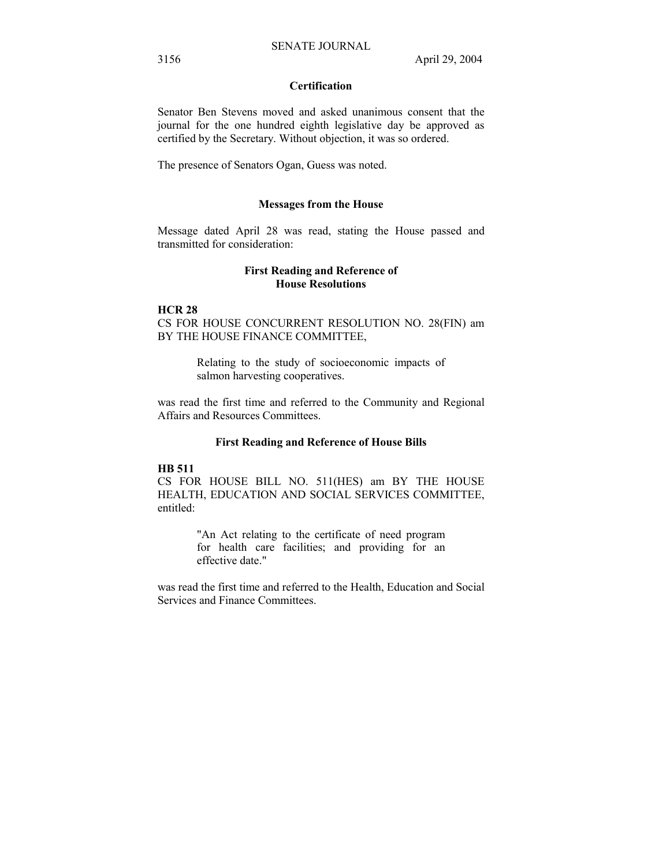# **Certification**

Senator Ben Stevens moved and asked unanimous consent that the journal for the one hundred eighth legislative day be approved as certified by the Secretary. Without objection, it was so ordered.

The presence of Senators Ogan, Guess was noted.

#### **Messages from the House**

Message dated April 28 was read, stating the House passed and transmitted for consideration:

# **First Reading and Reference of House Resolutions**

## **HCR 28**

CS FOR HOUSE CONCURRENT RESOLUTION NO. 28(FIN) am BY THE HOUSE FINANCE COMMITTEE,

> Relating to the study of socioeconomic impacts of salmon harvesting cooperatives.

was read the first time and referred to the Community and Regional Affairs and Resources Committees.

#### **First Reading and Reference of House Bills**

# **HB 511**

CS FOR HOUSE BILL NO. 511(HES) am BY THE HOUSE HEALTH, EDUCATION AND SOCIAL SERVICES COMMITTEE, entitled:

> "An Act relating to the certificate of need program for health care facilities; and providing for an effective date."

was read the first time and referred to the Health, Education and Social Services and Finance Committees.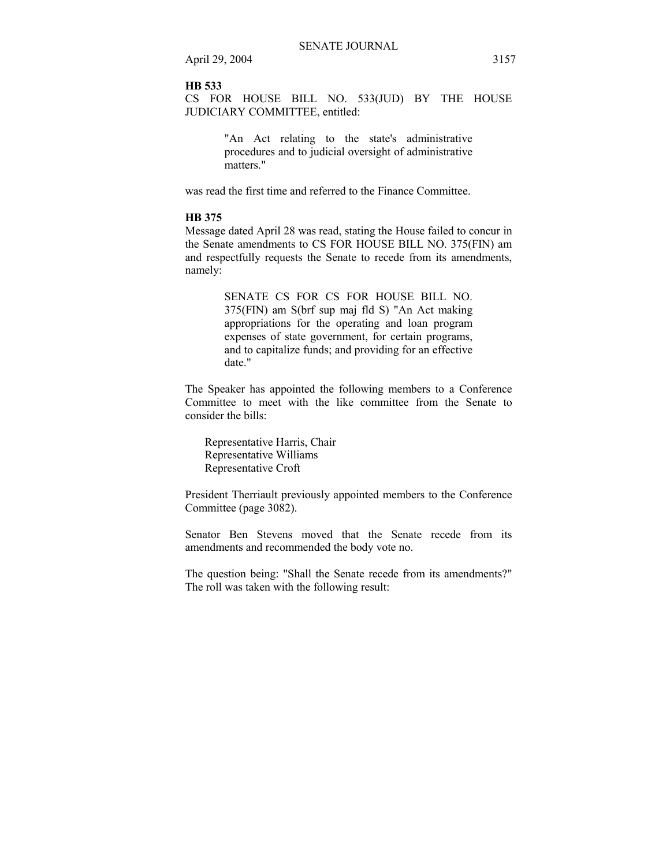## **HB 533**

CS FOR HOUSE BILL NO. 533(JUD) BY THE HOUSE JUDICIARY COMMITTEE, entitled:

> "An Act relating to the state's administrative procedures and to judicial oversight of administrative matters."

was read the first time and referred to the Finance Committee.

# **HB 375**

Message dated April 28 was read, stating the House failed to concur in the Senate amendments to CS FOR HOUSE BILL NO. 375(FIN) am and respectfully requests the Senate to recede from its amendments, namely:

> SENATE CS FOR CS FOR HOUSE BILL NO. 375(FIN) am S(brf sup maj fld S) "An Act making appropriations for the operating and loan program expenses of state government, for certain programs, and to capitalize funds; and providing for an effective date."

The Speaker has appointed the following members to a Conference Committee to meet with the like committee from the Senate to consider the bills:

Representative Harris, Chair Representative Williams Representative Croft

President Therriault previously appointed members to the Conference Committee (page 3082).

Senator Ben Stevens moved that the Senate recede from its amendments and recommended the body vote no.

The question being: "Shall the Senate recede from its amendments?" The roll was taken with the following result: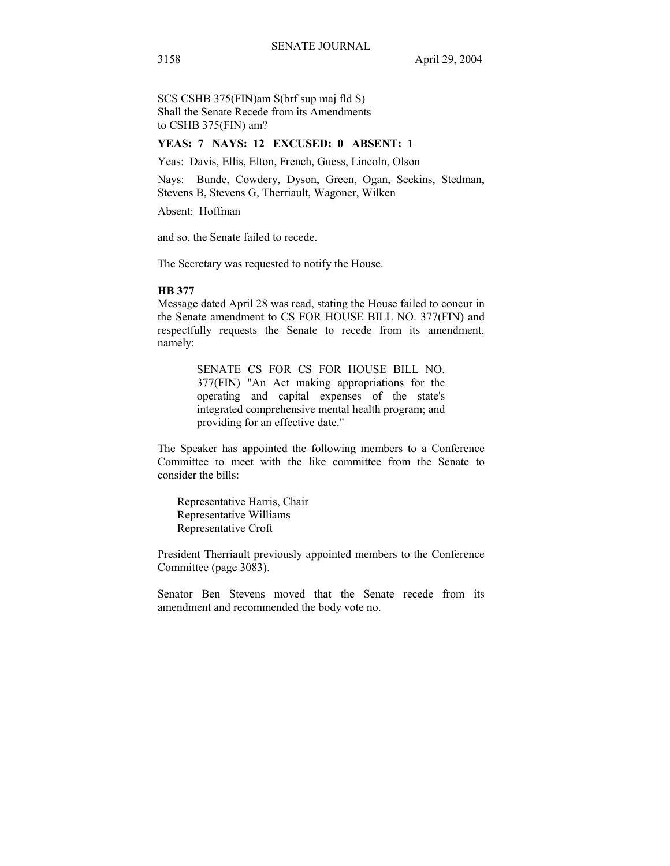SCS CSHB 375(FIN)am S(brf sup maj fld S) Shall the Senate Recede from its Amendments to CSHB 375(FIN) am?

# **YEAS: 7 NAYS: 12 EXCUSED: 0 ABSENT: 1**

Yeas: Davis, Ellis, Elton, French, Guess, Lincoln, Olson

Nays: Bunde, Cowdery, Dyson, Green, Ogan, Seekins, Stedman, Stevens B, Stevens G, Therriault, Wagoner, Wilken

Absent: Hoffman

and so, the Senate failed to recede.

The Secretary was requested to notify the House.

## **HB 377**

Message dated April 28 was read, stating the House failed to concur in the Senate amendment to CS FOR HOUSE BILL NO. 377(FIN) and respectfully requests the Senate to recede from its amendment, namely:

> SENATE CS FOR CS FOR HOUSE BILL NO. 377(FIN) "An Act making appropriations for the operating and capital expenses of the state's integrated comprehensive mental health program; and providing for an effective date."

The Speaker has appointed the following members to a Conference Committee to meet with the like committee from the Senate to consider the bills:

Representative Harris, Chair Representative Williams Representative Croft

President Therriault previously appointed members to the Conference Committee (page 3083).

Senator Ben Stevens moved that the Senate recede from its amendment and recommended the body vote no.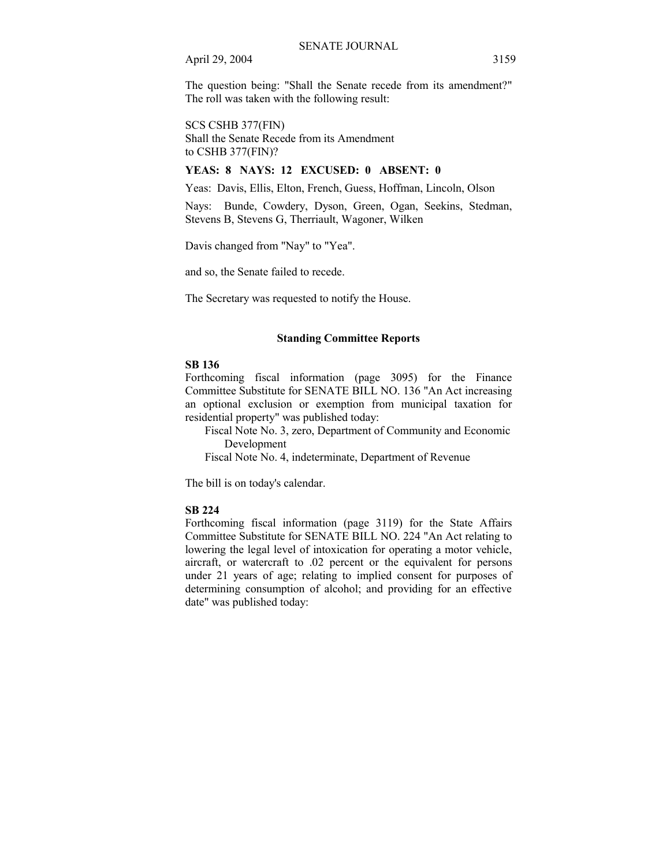The question being: "Shall the Senate recede from its amendment?" The roll was taken with the following result:

SCS CSHB 377(FIN)

Shall the Senate Recede from its Amendment to CSHB 377(FIN)?

# **YEAS: 8 NAYS: 12 EXCUSED: 0 ABSENT: 0**

Yeas: Davis, Ellis, Elton, French, Guess, Hoffman, Lincoln, Olson

Nays: Bunde, Cowdery, Dyson, Green, Ogan, Seekins, Stedman, Stevens B, Stevens G, Therriault, Wagoner, Wilken

Davis changed from "Nay" to "Yea".

and so, the Senate failed to recede.

The Secretary was requested to notify the House.

#### **Standing Committee Reports**

#### **SB 136**

Forthcoming fiscal information (page 3095) for the Finance Committee Substitute for SENATE BILL NO. 136 "An Act increasing an optional exclusion or exemption from municipal taxation for residential property" was published today:

 Fiscal Note No. 3, zero, Department of Community and Economic Development

Fiscal Note No. 4, indeterminate, Department of Revenue

The bill is on today's calendar.

#### **SB 224**

Forthcoming fiscal information (page 3119) for the State Affairs Committee Substitute for SENATE BILL NO. 224 "An Act relating to lowering the legal level of intoxication for operating a motor vehicle, aircraft, or watercraft to .02 percent or the equivalent for persons under 21 years of age; relating to implied consent for purposes of determining consumption of alcohol; and providing for an effective date" was published today: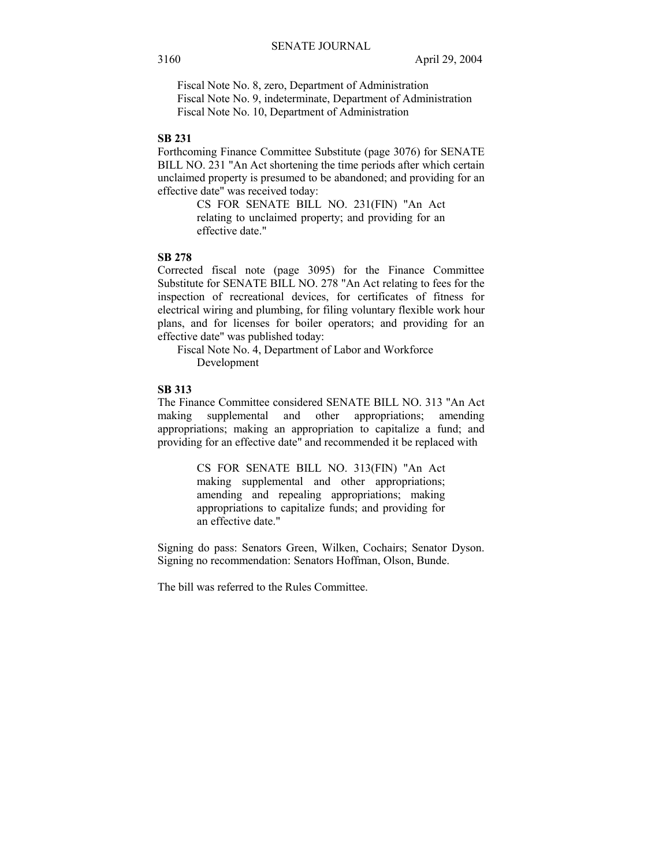Fiscal Note No. 8, zero, Department of Administration Fiscal Note No. 9, indeterminate, Department of Administration Fiscal Note No. 10, Department of Administration

#### **SB 231**

Forthcoming Finance Committee Substitute (page 3076) for SENATE BILL NO. 231 "An Act shortening the time periods after which certain unclaimed property is presumed to be abandoned; and providing for an effective date" was received today:

> CS FOR SENATE BILL NO. 231(FIN) "An Act relating to unclaimed property; and providing for an effective date."

#### **SB 278**

Corrected fiscal note (page 3095) for the Finance Committee Substitute for SENATE BILL NO. 278 "An Act relating to fees for the inspection of recreational devices, for certificates of fitness for electrical wiring and plumbing, for filing voluntary flexible work hour plans, and for licenses for boiler operators; and providing for an effective date" was published today:

 Fiscal Note No. 4, Department of Labor and Workforce Development

#### **SB 313**

The Finance Committee considered SENATE BILL NO. 313 "An Act making supplemental and other appropriations; amending appropriations; making an appropriation to capitalize a fund; and providing for an effective date" and recommended it be replaced with

> CS FOR SENATE BILL NO. 313(FIN) "An Act making supplemental and other appropriations; amending and repealing appropriations; making appropriations to capitalize funds; and providing for an effective date."

Signing do pass: Senators Green, Wilken, Cochairs; Senator Dyson. Signing no recommendation: Senators Hoffman, Olson, Bunde.

The bill was referred to the Rules Committee.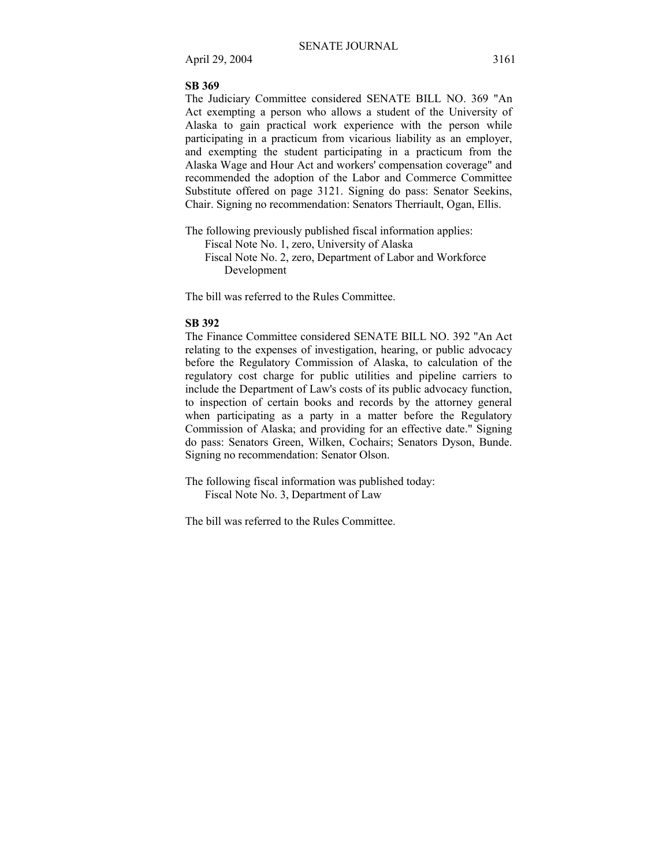#### **SB 369**

The Judiciary Committee considered SENATE BILL NO. 369 "An Act exempting a person who allows a student of the University of Alaska to gain practical work experience with the person while participating in a practicum from vicarious liability as an employer, and exempting the student participating in a practicum from the Alaska Wage and Hour Act and workers' compensation coverage" and recommended the adoption of the Labor and Commerce Committee Substitute offered on page 3121. Signing do pass: Senator Seekins, Chair. Signing no recommendation: Senators Therriault, Ogan, Ellis.

The following previously published fiscal information applies: Fiscal Note No. 1, zero, University of Alaska Fiscal Note No. 2, zero, Department of Labor and Workforce Development

The bill was referred to the Rules Committee.

#### **SB 392**

The Finance Committee considered SENATE BILL NO. 392 "An Act relating to the expenses of investigation, hearing, or public advocacy before the Regulatory Commission of Alaska, to calculation of the regulatory cost charge for public utilities and pipeline carriers to include the Department of Law's costs of its public advocacy function, to inspection of certain books and records by the attorney general when participating as a party in a matter before the Regulatory Commission of Alaska; and providing for an effective date." Signing do pass: Senators Green, Wilken, Cochairs; Senators Dyson, Bunde. Signing no recommendation: Senator Olson.

The following fiscal information was published today: Fiscal Note No. 3, Department of Law

The bill was referred to the Rules Committee.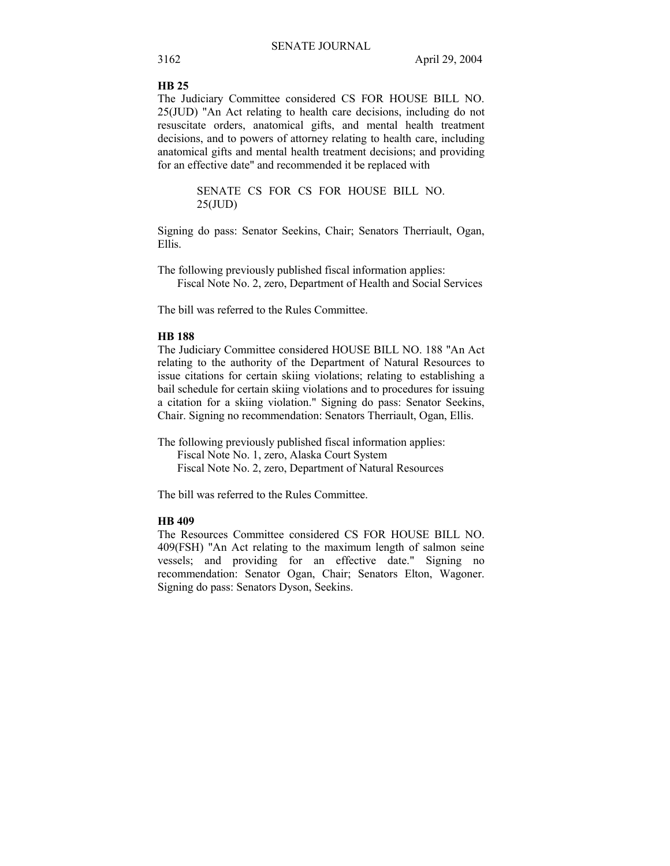#### **HB 25**

The Judiciary Committee considered CS FOR HOUSE BILL NO. 25(JUD) "An Act relating to health care decisions, including do not resuscitate orders, anatomical gifts, and mental health treatment decisions, and to powers of attorney relating to health care, including anatomical gifts and mental health treatment decisions; and providing for an effective date" and recommended it be replaced with

> SENATE CS FOR CS FOR HOUSE BILL NO. 25(JUD)

Signing do pass: Senator Seekins, Chair; Senators Therriault, Ogan, Ellis.

The following previously published fiscal information applies: Fiscal Note No. 2, zero, Department of Health and Social Services

The bill was referred to the Rules Committee.

# **HB 188**

The Judiciary Committee considered HOUSE BILL NO. 188 "An Act relating to the authority of the Department of Natural Resources to issue citations for certain skiing violations; relating to establishing a bail schedule for certain skiing violations and to procedures for issuing a citation for a skiing violation." Signing do pass: Senator Seekins, Chair. Signing no recommendation: Senators Therriault, Ogan, Ellis.

The following previously published fiscal information applies: Fiscal Note No. 1, zero, Alaska Court System Fiscal Note No. 2, zero, Department of Natural Resources

The bill was referred to the Rules Committee.

# **HB 409**

The Resources Committee considered CS FOR HOUSE BILL NO. 409(FSH) "An Act relating to the maximum length of salmon seine vessels; and providing for an effective date." Signing no recommendation: Senator Ogan, Chair; Senators Elton, Wagoner. Signing do pass: Senators Dyson, Seekins.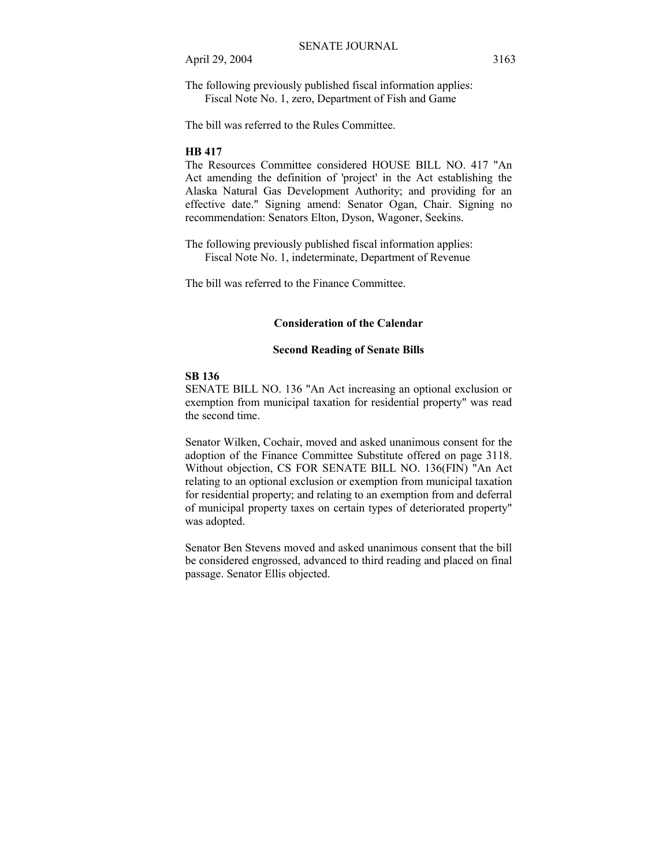The following previously published fiscal information applies: Fiscal Note No. 1, zero, Department of Fish and Game

The bill was referred to the Rules Committee.

## **HB 417**

The Resources Committee considered HOUSE BILL NO. 417 "An Act amending the definition of 'project' in the Act establishing the Alaska Natural Gas Development Authority; and providing for an effective date." Signing amend: Senator Ogan, Chair. Signing no recommendation: Senators Elton, Dyson, Wagoner, Seekins.

The following previously published fiscal information applies: Fiscal Note No. 1, indeterminate, Department of Revenue

The bill was referred to the Finance Committee.

#### **Consideration of the Calendar**

#### **Second Reading of Senate Bills**

#### **SB 136**

SENATE BILL NO. 136 "An Act increasing an optional exclusion or exemption from municipal taxation for residential property" was read the second time.

Senator Wilken, Cochair, moved and asked unanimous consent for the adoption of the Finance Committee Substitute offered on page 3118. Without objection, CS FOR SENATE BILL NO. 136(FIN) "An Act relating to an optional exclusion or exemption from municipal taxation for residential property; and relating to an exemption from and deferral of municipal property taxes on certain types of deteriorated property" was adopted.

Senator Ben Stevens moved and asked unanimous consent that the bill be considered engrossed, advanced to third reading and placed on final passage. Senator Ellis objected.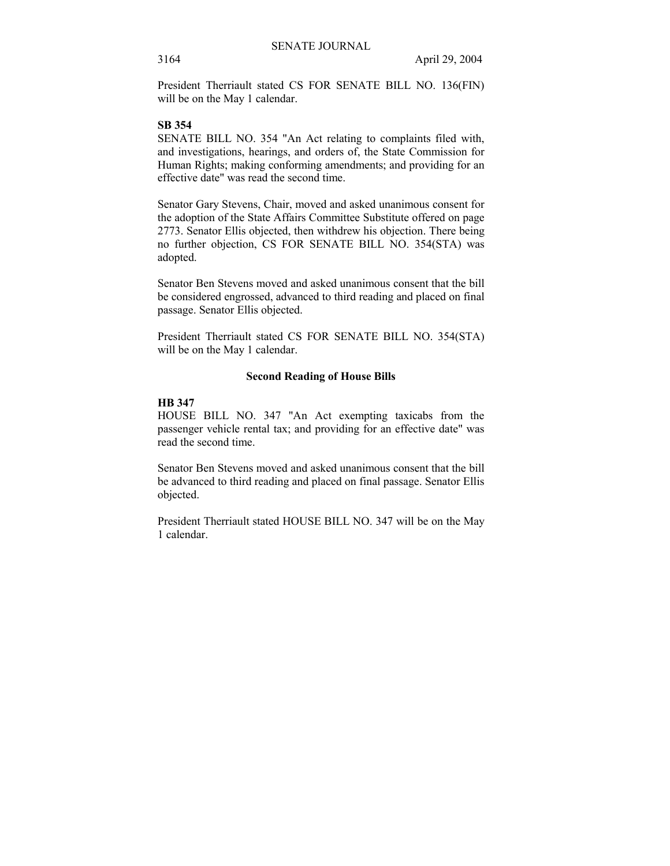President Therriault stated CS FOR SENATE BILL NO. 136(FIN) will be on the May 1 calendar.

#### **SB 354**

SENATE BILL NO. 354 "An Act relating to complaints filed with, and investigations, hearings, and orders of, the State Commission for Human Rights; making conforming amendments; and providing for an effective date" was read the second time.

Senator Gary Stevens, Chair, moved and asked unanimous consent for the adoption of the State Affairs Committee Substitute offered on page 2773. Senator Ellis objected, then withdrew his objection. There being no further objection, CS FOR SENATE BILL NO. 354(STA) was adopted.

Senator Ben Stevens moved and asked unanimous consent that the bill be considered engrossed, advanced to third reading and placed on final passage. Senator Ellis objected.

President Therriault stated CS FOR SENATE BILL NO. 354(STA) will be on the May 1 calendar.

## **Second Reading of House Bills**

# **HB 347**

HOUSE BILL NO. 347 "An Act exempting taxicabs from the passenger vehicle rental tax; and providing for an effective date" was read the second time.

Senator Ben Stevens moved and asked unanimous consent that the bill be advanced to third reading and placed on final passage. Senator Ellis objected.

President Therriault stated HOUSE BILL NO. 347 will be on the May 1 calendar.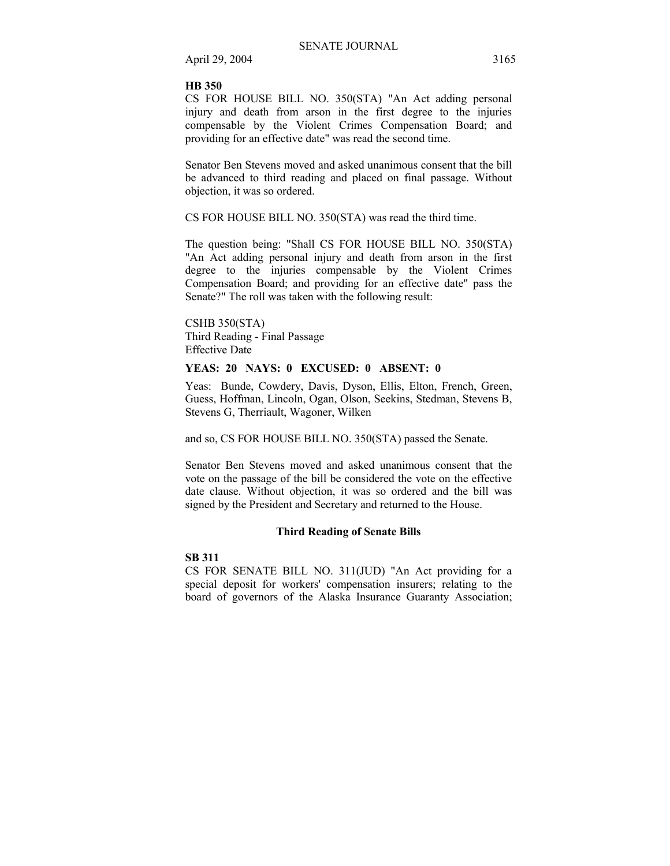# **HB 350**

CS FOR HOUSE BILL NO. 350(STA) "An Act adding personal injury and death from arson in the first degree to the injuries compensable by the Violent Crimes Compensation Board; and providing for an effective date" was read the second time.

Senator Ben Stevens moved and asked unanimous consent that the bill be advanced to third reading and placed on final passage. Without objection, it was so ordered.

CS FOR HOUSE BILL NO. 350(STA) was read the third time.

The question being: "Shall CS FOR HOUSE BILL NO. 350(STA) "An Act adding personal injury and death from arson in the first degree to the injuries compensable by the Violent Crimes Compensation Board; and providing for an effective date" pass the Senate?" The roll was taken with the following result:

CSHB 350(STA) Third Reading - Final Passage Effective Date

# **YEAS: 20 NAYS: 0 EXCUSED: 0 ABSENT: 0**

Yeas: Bunde, Cowdery, Davis, Dyson, Ellis, Elton, French, Green, Guess, Hoffman, Lincoln, Ogan, Olson, Seekins, Stedman, Stevens B, Stevens G, Therriault, Wagoner, Wilken

and so, CS FOR HOUSE BILL NO. 350(STA) passed the Senate.

Senator Ben Stevens moved and asked unanimous consent that the vote on the passage of the bill be considered the vote on the effective date clause. Without objection, it was so ordered and the bill was signed by the President and Secretary and returned to the House.

#### **Third Reading of Senate Bills**

#### **SB 311**

CS FOR SENATE BILL NO. 311(JUD) "An Act providing for a special deposit for workers' compensation insurers; relating to the board of governors of the Alaska Insurance Guaranty Association;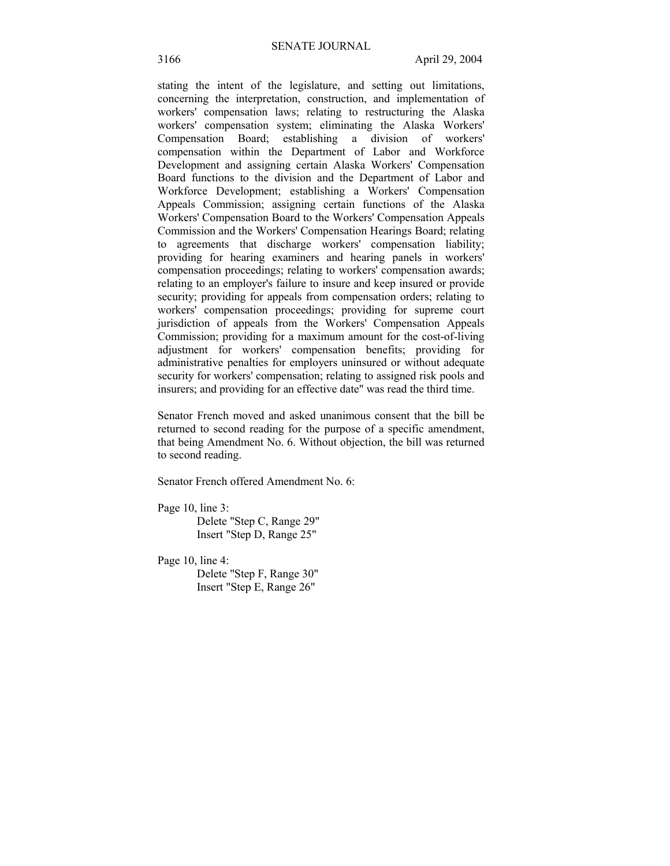stating the intent of the legislature, and setting out limitations, concerning the interpretation, construction, and implementation of workers' compensation laws; relating to restructuring the Alaska workers' compensation system; eliminating the Alaska Workers' Compensation Board; establishing a division of workers' compensation within the Department of Labor and Workforce Development and assigning certain Alaska Workers' Compensation Board functions to the division and the Department of Labor and Workforce Development; establishing a Workers' Compensation Appeals Commission; assigning certain functions of the Alaska Workers' Compensation Board to the Workers' Compensation Appeals Commission and the Workers' Compensation Hearings Board; relating to agreements that discharge workers' compensation liability; providing for hearing examiners and hearing panels in workers' compensation proceedings; relating to workers' compensation awards; relating to an employer's failure to insure and keep insured or provide security; providing for appeals from compensation orders; relating to workers' compensation proceedings; providing for supreme court jurisdiction of appeals from the Workers' Compensation Appeals Commission; providing for a maximum amount for the cost-of-living adjustment for workers' compensation benefits; providing for administrative penalties for employers uninsured or without adequate security for workers' compensation; relating to assigned risk pools and insurers; and providing for an effective date" was read the third time.

Senator French moved and asked unanimous consent that the bill be returned to second reading for the purpose of a specific amendment, that being Amendment No. 6. Without objection, the bill was returned to second reading.

Senator French offered Amendment No. 6:

Page 10, line 3: Delete "Step C, Range 29" Insert "Step D, Range 25"

Page 10, line 4: Delete "Step F, Range 30" Insert "Step E, Range 26"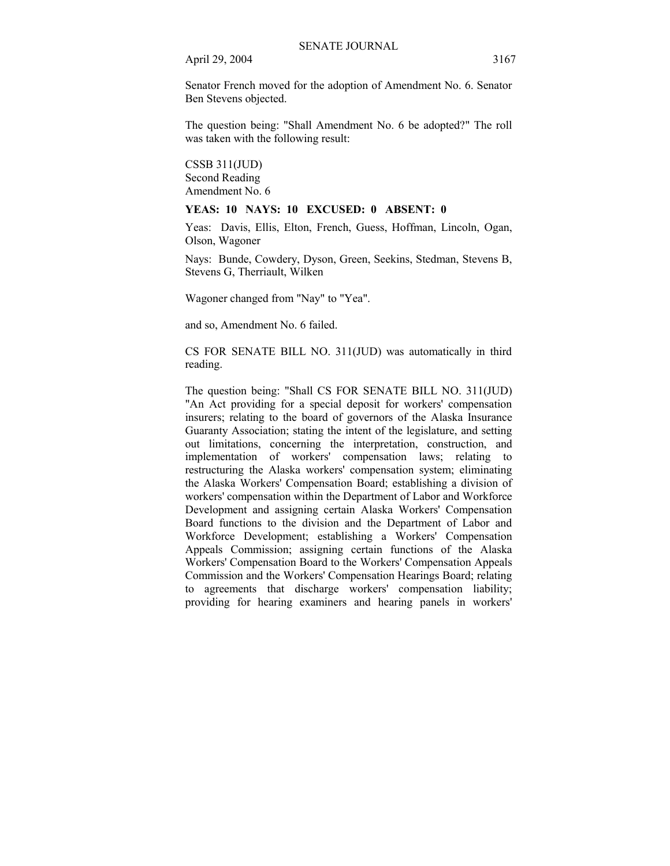Senator French moved for the adoption of Amendment No. 6. Senator Ben Stevens objected.

The question being: "Shall Amendment No. 6 be adopted?" The roll was taken with the following result:

CSSB 311(JUD) Second Reading Amendment No. 6

#### **YEAS: 10 NAYS: 10 EXCUSED: 0 ABSENT: 0**

Yeas: Davis, Ellis, Elton, French, Guess, Hoffman, Lincoln, Ogan, Olson, Wagoner

Nays: Bunde, Cowdery, Dyson, Green, Seekins, Stedman, Stevens B, Stevens G, Therriault, Wilken

Wagoner changed from "Nay" to "Yea".

and so, Amendment No. 6 failed.

CS FOR SENATE BILL NO. 311(JUD) was automatically in third reading.

The question being: "Shall CS FOR SENATE BILL NO. 311(JUD) "An Act providing for a special deposit for workers' compensation insurers; relating to the board of governors of the Alaska Insurance Guaranty Association; stating the intent of the legislature, and setting out limitations, concerning the interpretation, construction, and implementation of workers' compensation laws; relating to restructuring the Alaska workers' compensation system; eliminating the Alaska Workers' Compensation Board; establishing a division of workers' compensation within the Department of Labor and Workforce Development and assigning certain Alaska Workers' Compensation Board functions to the division and the Department of Labor and Workforce Development; establishing a Workers' Compensation Appeals Commission; assigning certain functions of the Alaska Workers' Compensation Board to the Workers' Compensation Appeals Commission and the Workers' Compensation Hearings Board; relating to agreements that discharge workers' compensation liability; providing for hearing examiners and hearing panels in workers'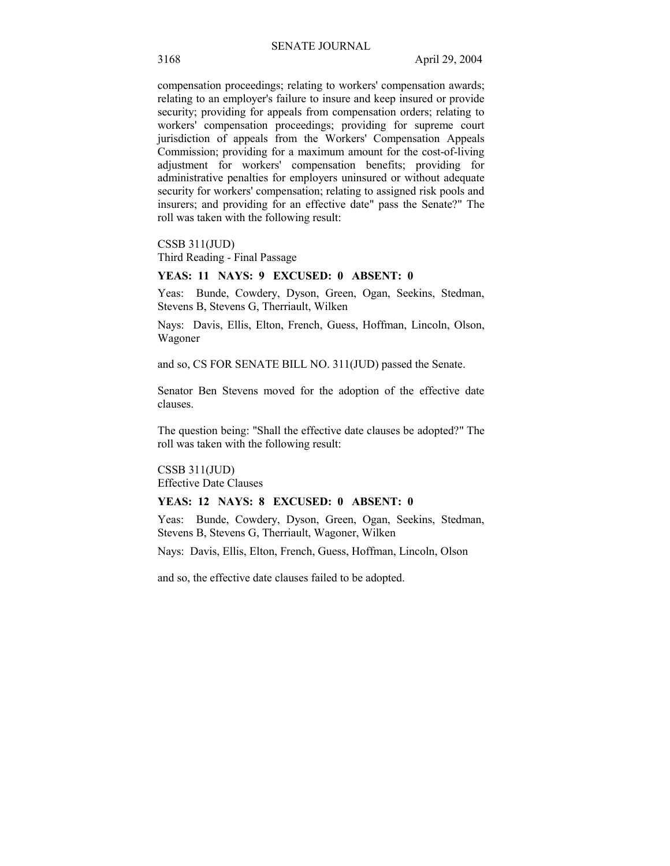compensation proceedings; relating to workers' compensation awards; relating to an employer's failure to insure and keep insured or provide security; providing for appeals from compensation orders; relating to workers' compensation proceedings; providing for supreme court jurisdiction of appeals from the Workers' Compensation Appeals Commission; providing for a maximum amount for the cost-of-living adjustment for workers' compensation benefits; providing for administrative penalties for employers uninsured or without adequate security for workers' compensation; relating to assigned risk pools and insurers; and providing for an effective date" pass the Senate?" The roll was taken with the following result:

CSSB 311(JUD)

Third Reading - Final Passage

#### **YEAS: 11 NAYS: 9 EXCUSED: 0 ABSENT: 0**

Yeas: Bunde, Cowdery, Dyson, Green, Ogan, Seekins, Stedman, Stevens B, Stevens G, Therriault, Wilken

Nays: Davis, Ellis, Elton, French, Guess, Hoffman, Lincoln, Olson, Wagoner

and so, CS FOR SENATE BILL NO. 311(JUD) passed the Senate.

Senator Ben Stevens moved for the adoption of the effective date clauses.

The question being: "Shall the effective date clauses be adopted?" The roll was taken with the following result:

CSSB 311(JUD) Effective Date Clauses

#### **YEAS: 12 NAYS: 8 EXCUSED: 0 ABSENT: 0**

Yeas: Bunde, Cowdery, Dyson, Green, Ogan, Seekins, Stedman, Stevens B, Stevens G, Therriault, Wagoner, Wilken

Nays: Davis, Ellis, Elton, French, Guess, Hoffman, Lincoln, Olson

and so, the effective date clauses failed to be adopted.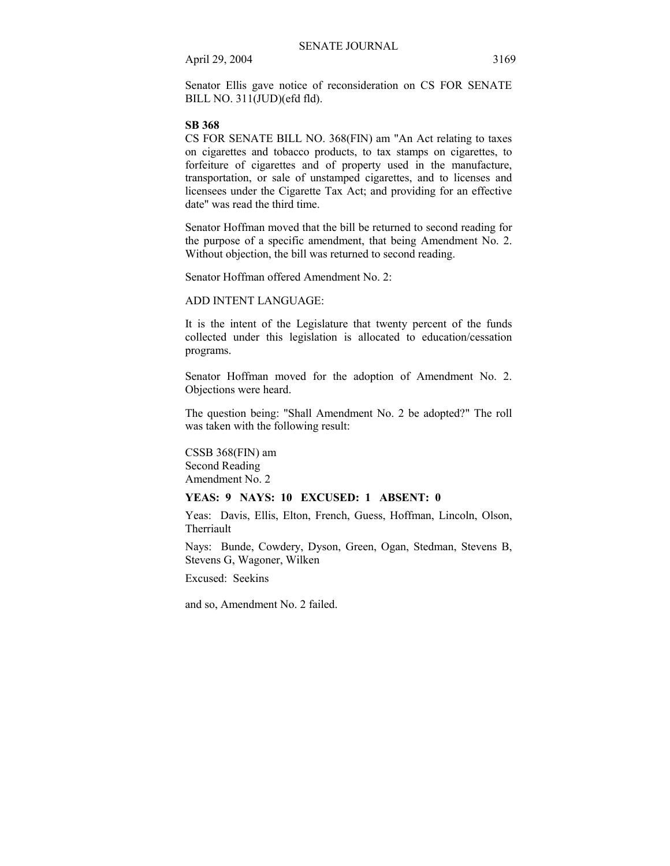Senator Ellis gave notice of reconsideration on CS FOR SENATE BILL NO. 311(JUD)(efd fld).

#### **SB 368**

CS FOR SENATE BILL NO. 368(FIN) am "An Act relating to taxes on cigarettes and tobacco products, to tax stamps on cigarettes, to forfeiture of cigarettes and of property used in the manufacture, transportation, or sale of unstamped cigarettes, and to licenses and licensees under the Cigarette Tax Act; and providing for an effective date" was read the third time.

Senator Hoffman moved that the bill be returned to second reading for the purpose of a specific amendment, that being Amendment No. 2. Without objection, the bill was returned to second reading.

Senator Hoffman offered Amendment No. 2:

ADD INTENT LANGUAGE:

It is the intent of the Legislature that twenty percent of the funds collected under this legislation is allocated to education/cessation programs.

Senator Hoffman moved for the adoption of Amendment No. 2. Objections were heard.

The question being: "Shall Amendment No. 2 be adopted?" The roll was taken with the following result:

CSSB 368(FIN) am Second Reading Amendment No. 2

#### **YEAS: 9 NAYS: 10 EXCUSED: 1 ABSENT: 0**

Yeas: Davis, Ellis, Elton, French, Guess, Hoffman, Lincoln, Olson, Therriault

Nays: Bunde, Cowdery, Dyson, Green, Ogan, Stedman, Stevens B, Stevens G, Wagoner, Wilken

Excused: Seekins

and so, Amendment No. 2 failed.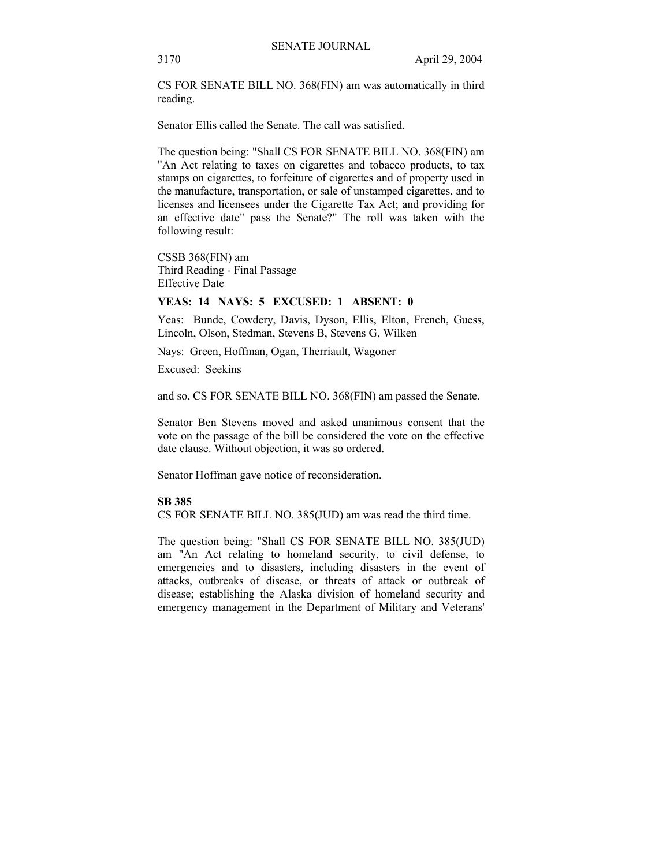CS FOR SENATE BILL NO. 368(FIN) am was automatically in third reading.

Senator Ellis called the Senate. The call was satisfied.

The question being: "Shall CS FOR SENATE BILL NO. 368(FIN) am "An Act relating to taxes on cigarettes and tobacco products, to tax stamps on cigarettes, to forfeiture of cigarettes and of property used in the manufacture, transportation, or sale of unstamped cigarettes, and to licenses and licensees under the Cigarette Tax Act; and providing for an effective date" pass the Senate?" The roll was taken with the following result:

CSSB 368(FIN) am Third Reading - Final Passage Effective Date

# **YEAS: 14 NAYS: 5 EXCUSED: 1 ABSENT: 0**

Yeas: Bunde, Cowdery, Davis, Dyson, Ellis, Elton, French, Guess, Lincoln, Olson, Stedman, Stevens B, Stevens G, Wilken

Nays: Green, Hoffman, Ogan, Therriault, Wagoner

Excused: Seekins

and so, CS FOR SENATE BILL NO. 368(FIN) am passed the Senate.

Senator Ben Stevens moved and asked unanimous consent that the vote on the passage of the bill be considered the vote on the effective date clause. Without objection, it was so ordered.

Senator Hoffman gave notice of reconsideration.

#### **SB 385**

CS FOR SENATE BILL NO. 385(JUD) am was read the third time.

The question being: "Shall CS FOR SENATE BILL NO. 385(JUD) am "An Act relating to homeland security, to civil defense, to emergencies and to disasters, including disasters in the event of attacks, outbreaks of disease, or threats of attack or outbreak of disease; establishing the Alaska division of homeland security and emergency management in the Department of Military and Veterans'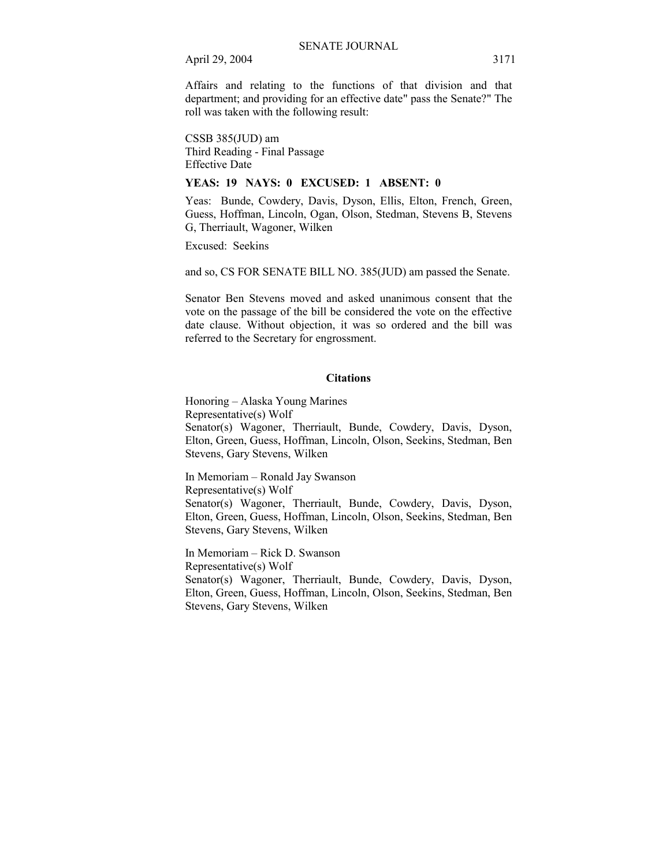Affairs and relating to the functions of that division and that department; and providing for an effective date" pass the Senate?" The roll was taken with the following result:

CSSB 385(JUD) am Third Reading - Final Passage Effective Date

# **YEAS: 19 NAYS: 0 EXCUSED: 1 ABSENT: 0**

Yeas: Bunde, Cowdery, Davis, Dyson, Ellis, Elton, French, Green, Guess, Hoffman, Lincoln, Ogan, Olson, Stedman, Stevens B, Stevens G, Therriault, Wagoner, Wilken

Excused: Seekins

and so, CS FOR SENATE BILL NO. 385(JUD) am passed the Senate.

Senator Ben Stevens moved and asked unanimous consent that the vote on the passage of the bill be considered the vote on the effective date clause. Without objection, it was so ordered and the bill was referred to the Secretary for engrossment.

#### **Citations**

Honoring – Alaska Young Marines Representative(s) Wolf Senator(s) Wagoner, Therriault, Bunde, Cowdery, Davis, Dyson, Elton, Green, Guess, Hoffman, Lincoln, Olson, Seekins, Stedman, Ben Stevens, Gary Stevens, Wilken

In Memoriam - Ronald Jay Swanson Representative(s) Wolf Senator(s) Wagoner, Therriault, Bunde, Cowdery, Davis, Dyson, Elton, Green, Guess, Hoffman, Lincoln, Olson, Seekins, Stedman, Ben Stevens, Gary Stevens, Wilken

In Memoriam – Rick D. Swanson Representative(s) Wolf Senator(s) Wagoner, Therriault, Bunde, Cowdery, Davis, Dyson, Elton, Green, Guess, Hoffman, Lincoln, Olson, Seekins, Stedman, Ben Stevens, Gary Stevens, Wilken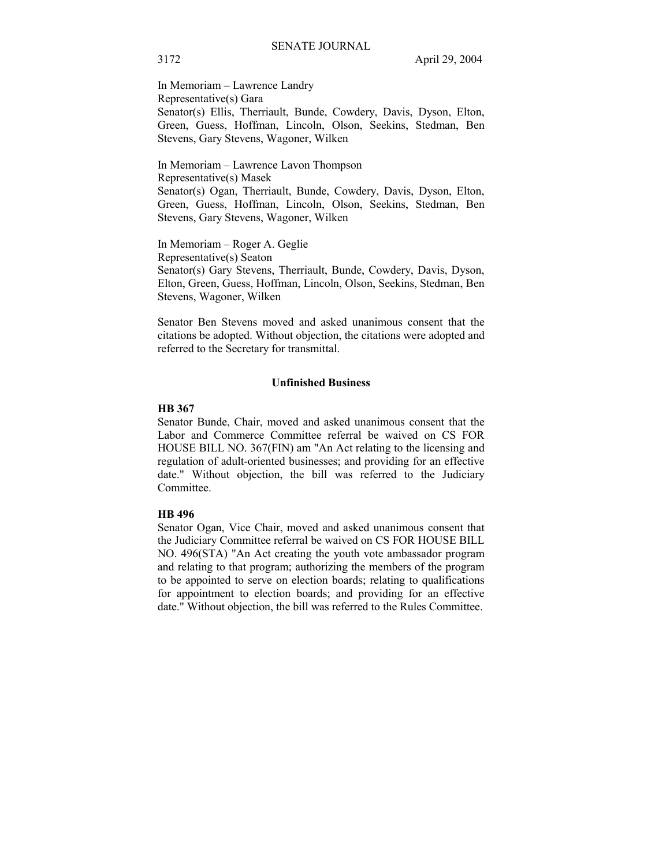In Memoriam – Lawrence Landry Representative(s) Gara Senator(s) Ellis, Therriault, Bunde, Cowdery, Davis, Dyson, Elton, Green, Guess, Hoffman, Lincoln, Olson, Seekins, Stedman, Ben Stevens, Gary Stevens, Wagoner, Wilken

In Memoriam – Lawrence Lavon Thompson Representative(s) Masek Senator(s) Ogan, Therriault, Bunde, Cowdery, Davis, Dyson, Elton, Green, Guess, Hoffman, Lincoln, Olson, Seekins, Stedman, Ben Stevens, Gary Stevens, Wagoner, Wilken

In Memoriam - Roger A. Geglie Representative(s) Seaton Senator(s) Gary Stevens, Therriault, Bunde, Cowdery, Davis, Dyson, Elton, Green, Guess, Hoffman, Lincoln, Olson, Seekins, Stedman, Ben Stevens, Wagoner, Wilken

Senator Ben Stevens moved and asked unanimous consent that the citations be adopted. Without objection, the citations were adopted and referred to the Secretary for transmittal.

#### **Unfinished Business**

#### **HB 367**

Senator Bunde, Chair, moved and asked unanimous consent that the Labor and Commerce Committee referral be waived on CS FOR HOUSE BILL NO. 367(FIN) am "An Act relating to the licensing and regulation of adult-oriented businesses; and providing for an effective date." Without objection, the bill was referred to the Judiciary Committee.

#### **HB 496**

Senator Ogan, Vice Chair, moved and asked unanimous consent that the Judiciary Committee referral be waived on CS FOR HOUSE BILL NO. 496(STA) "An Act creating the youth vote ambassador program and relating to that program; authorizing the members of the program to be appointed to serve on election boards; relating to qualifications for appointment to election boards; and providing for an effective date." Without objection, the bill was referred to the Rules Committee.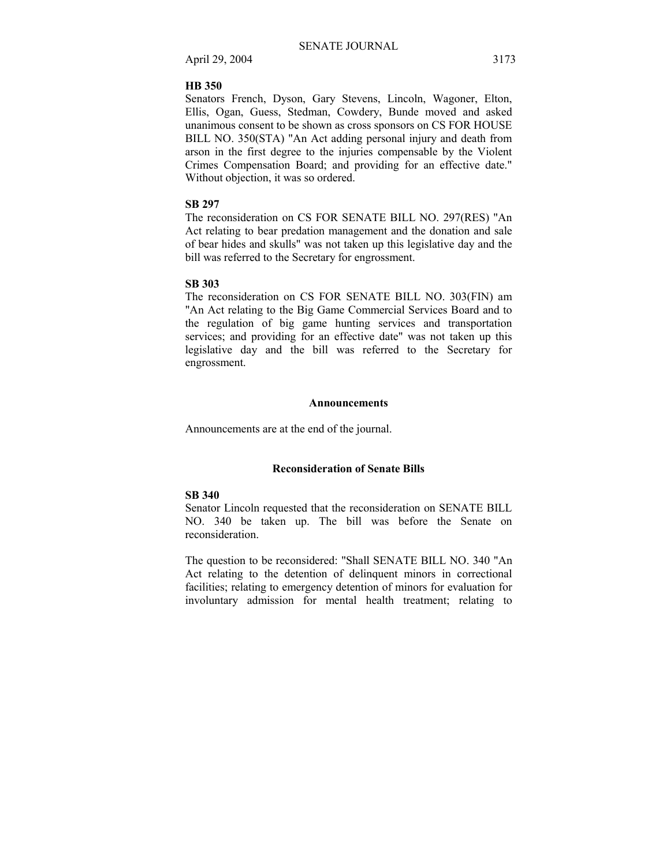#### **HB 350**

Senators French, Dyson, Gary Stevens, Lincoln, Wagoner, Elton, Ellis, Ogan, Guess, Stedman, Cowdery, Bunde moved and asked unanimous consent to be shown as cross sponsors on CS FOR HOUSE BILL NO. 350(STA) "An Act adding personal injury and death from arson in the first degree to the injuries compensable by the Violent Crimes Compensation Board; and providing for an effective date." Without objection, it was so ordered.

# **SB 297**

The reconsideration on CS FOR SENATE BILL NO. 297(RES) "An Act relating to bear predation management and the donation and sale of bear hides and skulls" was not taken up this legislative day and the bill was referred to the Secretary for engrossment.

#### **SB 303**

The reconsideration on CS FOR SENATE BILL NO. 303(FIN) am "An Act relating to the Big Game Commercial Services Board and to the regulation of big game hunting services and transportation services; and providing for an effective date" was not taken up this legislative day and the bill was referred to the Secretary for engrossment.

#### **Announcements**

Announcements are at the end of the journal.

# **Reconsideration of Senate Bills**

# **SB 340**

Senator Lincoln requested that the reconsideration on SENATE BILL NO. 340 be taken up. The bill was before the Senate on reconsideration.

The question to be reconsidered: "Shall SENATE BILL NO. 340 "An Act relating to the detention of delinquent minors in correctional facilities; relating to emergency detention of minors for evaluation for involuntary admission for mental health treatment; relating to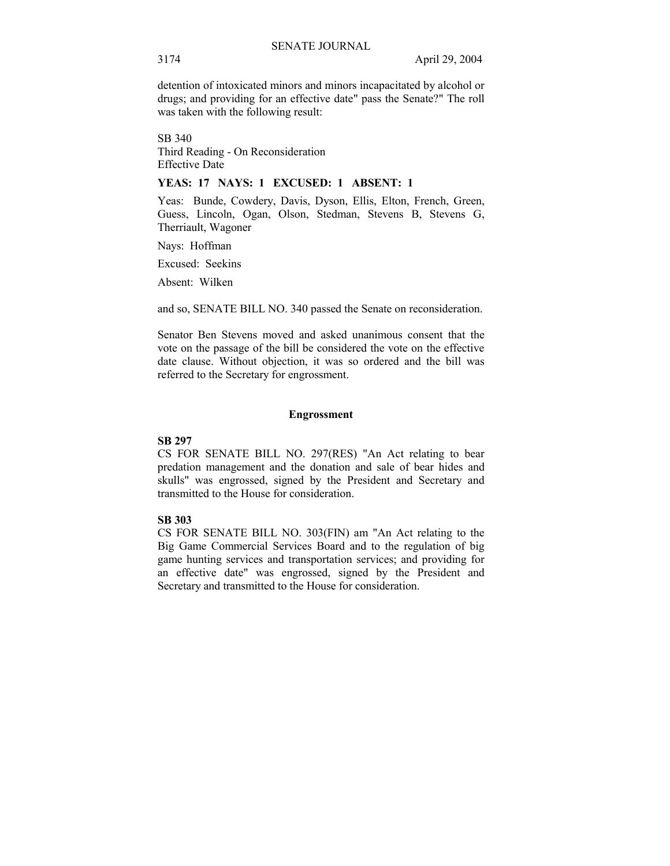detention of intoxicated minors and minors incapacitated by alcohol or drugs; and providing for an effective date" pass the Senate?" The roll was taken with the following result:

SB 340 Third Reading - On Reconsideration Effective Date

# **YEAS: 17 NAYS: 1 EXCUSED: 1 ABSENT: 1**

Yeas: Bunde, Cowdery, Davis, Dyson, Ellis, Elton, French, Green, Guess, Lincoln, Ogan, Olson, Stedman, Stevens B, Stevens G, Therriault, Wagoner

Nays: Hoffman

Excused: Seekins

Absent: Wilken

and so, SENATE BILL NO. 340 passed the Senate on reconsideration.

Senator Ben Stevens moved and asked unanimous consent that the vote on the passage of the bill be considered the vote on the effective date clause. Without objection, it was so ordered and the bill was referred to the Secretary for engrossment.

#### **Engrossment**

#### **SB 297**

CS FOR SENATE BILL NO. 297(RES) "An Act relating to bear predation management and the donation and sale of bear hides and skulls" was engrossed, signed by the President and Secretary and transmitted to the House for consideration.

#### **SB 303**

CS FOR SENATE BILL NO. 303(FIN) am "An Act relating to the Big Game Commercial Services Board and to the regulation of big game hunting services and transportation services; and providing for an effective date" was engrossed, signed by the President and Secretary and transmitted to the House for consideration.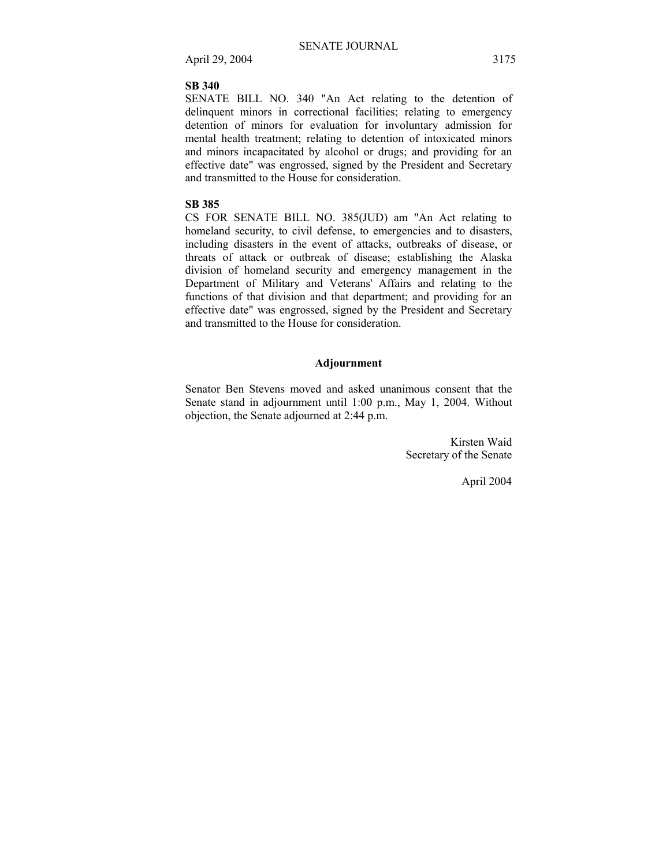#### **SB 340**

SENATE BILL NO. 340 "An Act relating to the detention of delinquent minors in correctional facilities; relating to emergency detention of minors for evaluation for involuntary admission for mental health treatment; relating to detention of intoxicated minors and minors incapacitated by alcohol or drugs; and providing for an effective date" was engrossed, signed by the President and Secretary and transmitted to the House for consideration.

# **SB 385**

CS FOR SENATE BILL NO. 385(JUD) am "An Act relating to homeland security, to civil defense, to emergencies and to disasters, including disasters in the event of attacks, outbreaks of disease, or threats of attack or outbreak of disease; establishing the Alaska division of homeland security and emergency management in the Department of Military and Veterans' Affairs and relating to the functions of that division and that department; and providing for an effective date" was engrossed, signed by the President and Secretary and transmitted to the House for consideration.

# **Adjournment**

Senator Ben Stevens moved and asked unanimous consent that the Senate stand in adjournment until 1:00 p.m., May 1, 2004. Without objection, the Senate adjourned at 2:44 p.m.

> Kirsten Waid Secretary of the Senate

> > April 2004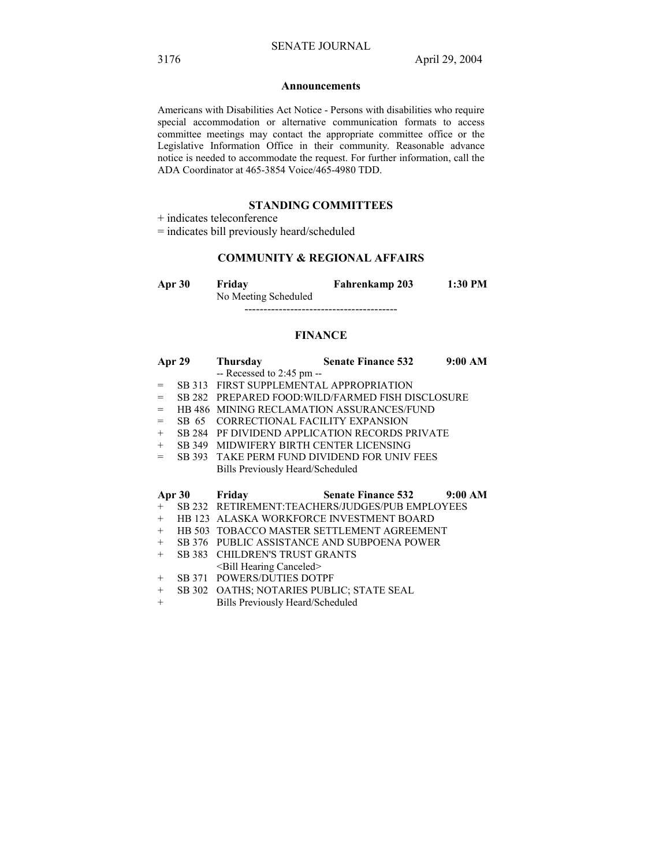#### **Announcements**

Americans with Disabilities Act Notice - Persons with disabilities who require special accommodation or alternative communication formats to access committee meetings may contact the appropriate committee office or the Legislative Information Office in their community. Reasonable advance notice is needed to accommodate the request. For further information, call the ADA Coordinator at 465-3854 Voice/465-4980 TDD.

## **STANDING COMMITTEES**

+ indicates teleconference

= indicates bill previously heard/scheduled

# **COMMUNITY & REGIONAL AFFAIRS**

**Apr 30 Friday Fahrenkamp 203 1:30 PM**  No Meeting Scheduled

----------------------------------------

#### **FINANCE**

| Apr 29 |               | Thursday                                  | <b>Senate Finance 532</b>                         | 9:00 AM |
|--------|---------------|-------------------------------------------|---------------------------------------------------|---------|
|        |               | $-$ Recessed to 2:45 pm $-$               |                                                   |         |
| $=$    |               | SB 313 FIRST SUPPLEMENTAL APPROPRIATION   |                                                   |         |
| $=$    |               |                                           | SB 282 PREPARED FOOD: WILD/FARMED FISH DISCLOSURE |         |
| $=$    |               |                                           | HB 486 MINING RECLAMATION ASSURANCES/FUND         |         |
| $=$    |               | SB 65 CORRECTIONAL FACILITY EXPANSION     |                                                   |         |
| $+$    |               |                                           | SB 284 PF DIVIDEND APPLICATION RECORDS PRIVATE    |         |
| $+$    |               | SB 349 MIDWIFERY BIRTH CENTER LICENSING   |                                                   |         |
| $=$    |               |                                           | SB 393 TAKE PERM FUND DIVIDEND FOR UNIV FEES      |         |
|        |               | Bills Previously Heard/Scheduled          |                                                   |         |
|        |               |                                           |                                                   |         |
|        |               |                                           |                                                   |         |
|        | Apr 30 Friday |                                           | Senate Finance 532 9:00 AM                        |         |
| $+$    |               |                                           | SB 232 RETIREMENT:TEACHERS/JUDGES/PUB EMPLOYEES   |         |
| $+$    |               |                                           | HB 123 ALASKA WORKFORCE INVESTMENT BOARD          |         |
| $+$    |               |                                           | HB 503 TOBACCO MASTER SETTLEMENT AGREEMENT        |         |
| $+$    |               |                                           | SB 376 PUBLIC ASSISTANCE AND SUBPOENA POWER       |         |
| $+$    |               | SB 383 CHILDREN'S TRUST GRANTS            |                                                   |         |
|        |               | <bill canceled="" hearing=""></bill>      |                                                   |         |
| $+$    |               | <b>SB 371 POWERS/DUTIES DOTPF</b>         |                                                   |         |
| $^{+}$ |               | SB 302 OATHS; NOTARIES PUBLIC; STATE SEAL |                                                   |         |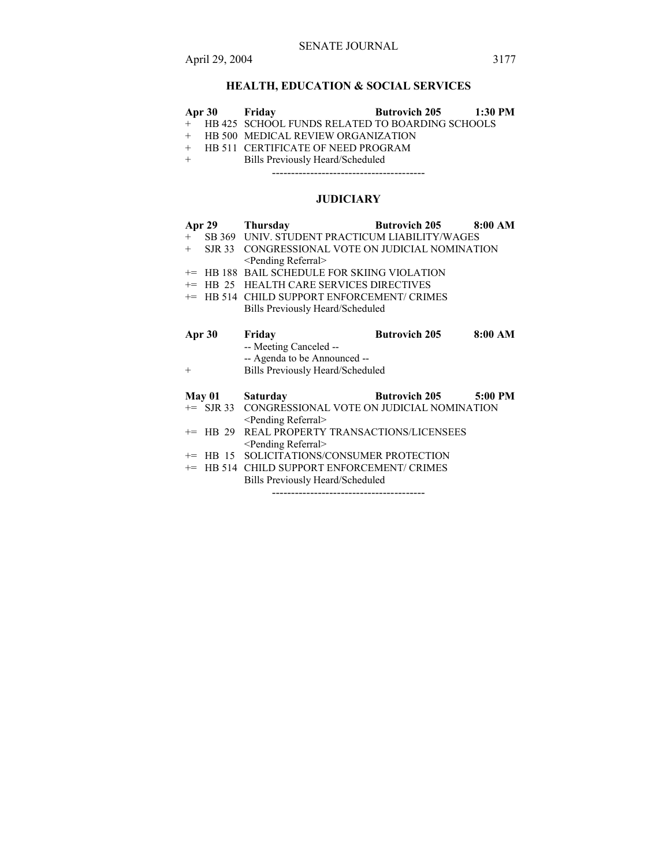# **HEALTH, EDUCATION & SOCIAL SERVICES**

| Apr 30        | Friday                                          | <b>Butrovich 205</b> | 1:30 PM   |  |
|---------------|-------------------------------------------------|----------------------|-----------|--|
| $^{+}$        | HB 425 SCHOOL FUNDS RELATED TO BOARDING SCHOOLS |                      |           |  |
| $+$           | HB 500 MEDICAL REVIEW ORGANIZATION              |                      |           |  |
| $^{+}$        | HB 511 CERTIFICATE OF NEED PROGRAM              |                      |           |  |
| $^{+}$        | Bills Previously Heard/Scheduled                |                      |           |  |
|               |                                                 |                      |           |  |
|               |                                                 |                      |           |  |
|               | <b>JUDICIARY</b>                                |                      |           |  |
| Apr $29$      | <b>Thursday</b>                                 | <b>Butrovich 205</b> | 8:00 AM   |  |
| $+$           | SB 369 UNIV. STUDENT PRACTICUM LIABILITY/WAGES  |                      |           |  |
| SJR 33<br>$+$ | CONGRESSIONAL VOTE ON JUDICIAL NOMINATION       |                      |           |  |
|               | <pending referral=""></pending>                 |                      |           |  |
|               | += HB 188 BAIL SCHEDULE FOR SKIING VIOLATION    |                      |           |  |
| $+=$          | HB 25 HEALTH CARE SERVICES DIRECTIVES           |                      |           |  |
|               | += HB 514 CHILD SUPPORT ENFORCEMENT/ CRIMES     |                      |           |  |
|               | Bills Previously Heard/Scheduled                |                      |           |  |
| Apr 30        | Friday                                          | <b>Butrovich 205</b> | 8:00 AM   |  |
|               | -- Meeting Canceled --                          |                      |           |  |
|               | -- Agenda to be Announced --                    |                      |           |  |
| $^{+}$        | Bills Previously Heard/Scheduled                |                      |           |  |
|               |                                                 |                      |           |  |
| May 01        | <b>Saturday</b>                                 | <b>Butrovich 205</b> | $5:00$ PM |  |
| $+=$ SJR 33   | CONGRESSIONAL VOTE ON JUDICIAL NOMINATION       |                      |           |  |
|               | <pending referral=""></pending>                 |                      |           |  |
| $+=$ HB 29    | REAL PROPERTY TRANSACTIONS/LICENSEES            |                      |           |  |
|               | <pending referral=""></pending>                 |                      |           |  |
| $+=$ HB 15    | SOLICITATIONS/CONSUMER PROTECTION               |                      |           |  |
|               | += HB 514 CHILD SUPPORT ENFORCEMENT/ CRIMES     |                      |           |  |
|               | Bills Previously Heard/Scheduled                |                      |           |  |
|               |                                                 |                      |           |  |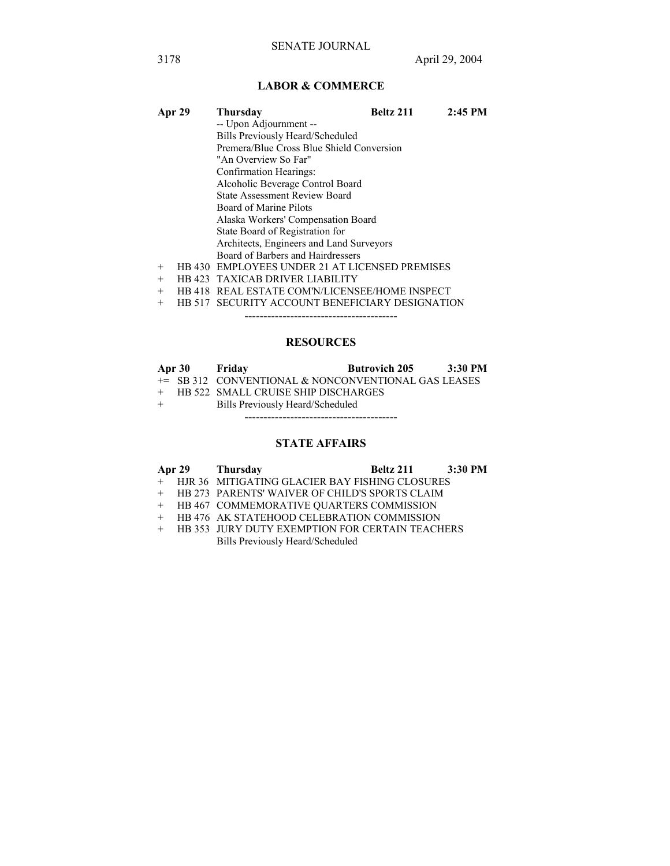# **LABOR & COMMERCE**

| Apr 29 | Thursday                                       | Beltz 211 | $2:45$ PM |  |  |  |
|--------|------------------------------------------------|-----------|-----------|--|--|--|
|        | -- Upon Adjournment --                         |           |           |  |  |  |
|        | Bills Previously Heard/Scheduled               |           |           |  |  |  |
|        | Premera/Blue Cross Blue Shield Conversion      |           |           |  |  |  |
|        | "An Overview So Far"                           |           |           |  |  |  |
|        | Confirmation Hearings:                         |           |           |  |  |  |
|        | Alcoholic Beverage Control Board               |           |           |  |  |  |
|        | <b>State Assessment Review Board</b>           |           |           |  |  |  |
|        | Board of Marine Pilots                         |           |           |  |  |  |
|        | Alaska Workers' Compensation Board             |           |           |  |  |  |
|        | State Board of Registration for                |           |           |  |  |  |
|        | Architects, Engineers and Land Surveyors       |           |           |  |  |  |
|        | Board of Barbers and Hairdressers              |           |           |  |  |  |
| $+$    | HB 430 EMPLOYEES UNDER 21 AT LICENSED PREMISES |           |           |  |  |  |
| $^{+}$ | HB 423 TAXICAB DRIVER LIABILITY                |           |           |  |  |  |
| $^{+}$ | HB 418 REAL ESTATE COM'N/LICENSEE/HOME INSPECT |           |           |  |  |  |

+ HB 517 SECURITY ACCOUNT BENEFICIARY DESIGNATION

----------------------------------------

# **RESOURCES**

|     | Apr 30 Friday |                                                     | <b>Butrovich 205</b> | 3:30 PM |
|-----|---------------|-----------------------------------------------------|----------------------|---------|
|     |               | += SB 312 CONVENTIONAL & NONCONVENTIONAL GAS LEASES |                      |         |
|     |               | + HB 522 SMALL CRUISE SHIP DISCHARGES               |                      |         |
| $+$ |               | Bills Previously Heard/Scheduled                    |                      |         |

----------------------------------------

# **STATE AFFAIRS**

|  | Apr 29 Thursday                                   | Beltz 211 | 3:30 PM |
|--|---------------------------------------------------|-----------|---------|
|  | + HJR 36 MITIGATING GLACIER BAY FISHING CLOSURES  |           |         |
|  | + HB 273 PARENTS' WAIVER OF CHILD'S SPORTS CLAIM  |           |         |
|  | + HB 467 COMMEMORATIVE QUARTERS COMMISSION        |           |         |
|  | + HB 476 AK STATEHOOD CELEBRATION COMMISSION      |           |         |
|  | + HB 353 JURY DUTY EXEMPTION FOR CERTAIN TEACHERS |           |         |

Bills Previously Heard/Scheduled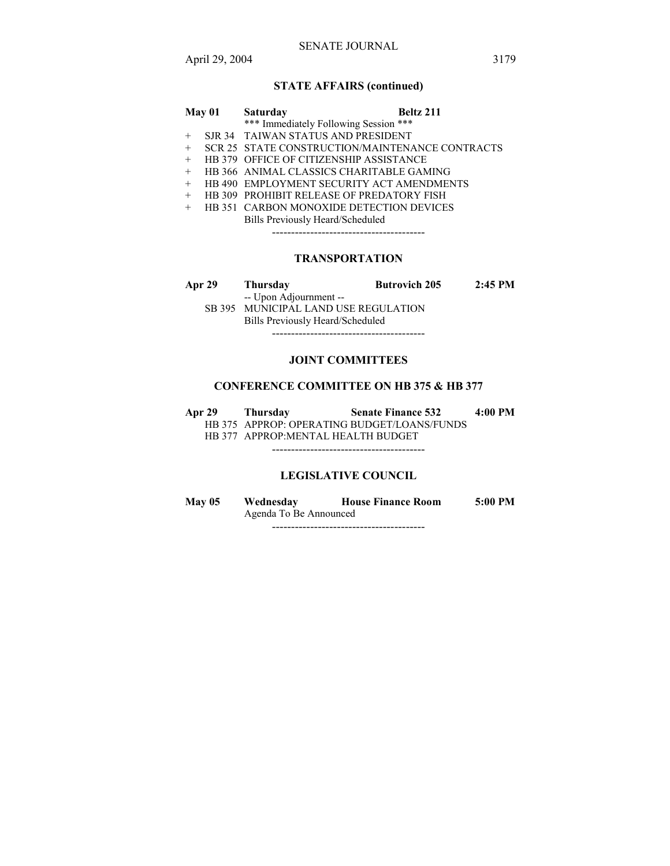# **STATE AFFAIRS (continued)**

| May 01 |  | <b>Saturday</b>                                  | Beltz 211 |
|--------|--|--------------------------------------------------|-----------|
|        |  | *** Immediately Following Session ***            |           |
| $+$    |  | SJR 34 TAIWAN STATUS AND PRESIDENT               |           |
| $+$    |  | SCR 25 STATE CONSTRUCTION/MAINTENANCE CONTRACTS  |           |
| $+$    |  | <b>HB 379 OFFICE OF CITIZENSHIP ASSISTANCE</b>   |           |
| $+$    |  | HB 366 ANIMAL CLASSICS CHARITABLE GAMING         |           |
| $+$    |  | HB 490 EMPLOYMENT SECURITY ACT AMENDMENTS        |           |
| $+$    |  | <b>HB 309 PROHIBIT RELEASE OF PREDATORY FISH</b> |           |
| $+$    |  | <b>HB 351 CARBON MONOXIDE DETECTION DEVICES</b>  |           |
|        |  | Bills Previously Heard/Scheduled                 |           |
|        |  |                                                  |           |
|        |  |                                                  |           |
|        |  |                                                  |           |

# **TRANSPORTATION**

| Apr 29                               | Thursday                         | <b>Butrovich 205</b> | $2:45 \text{ PM}$ |
|--------------------------------------|----------------------------------|----------------------|-------------------|
|                                      | -- Upon Adjournment --           |                      |                   |
| SB 395 MUNICIPAL LAND USE REGULATION |                                  |                      |                   |
|                                      | Bills Previously Heard/Scheduled |                      |                   |

----------------------------------------

# **JOINT COMMITTEES**

# **CONFERENCE COMMITTEE ON HB 375 & HB 377**

| Apr 29 | Thursdav                            | <b>Senate Finance 532</b>                   | 4:00 PM |
|--------|-------------------------------------|---------------------------------------------|---------|
|        |                                     | HB 375 APPROP: OPERATING BUDGET/LOANS/FUNDS |         |
|        | HB 377 APPROP: MENTAL HEALTH BUDGET |                                             |         |
|        |                                     |                                             |         |

# **LEGISLATIVE COUNCIL**

| <b>May 05</b> | Wednesday              | <b>House Finance Room</b> | $5:00 \text{ PM}$ |
|---------------|------------------------|---------------------------|-------------------|
|               | Agenda To Be Announced |                           |                   |
|               |                        |                           |                   |